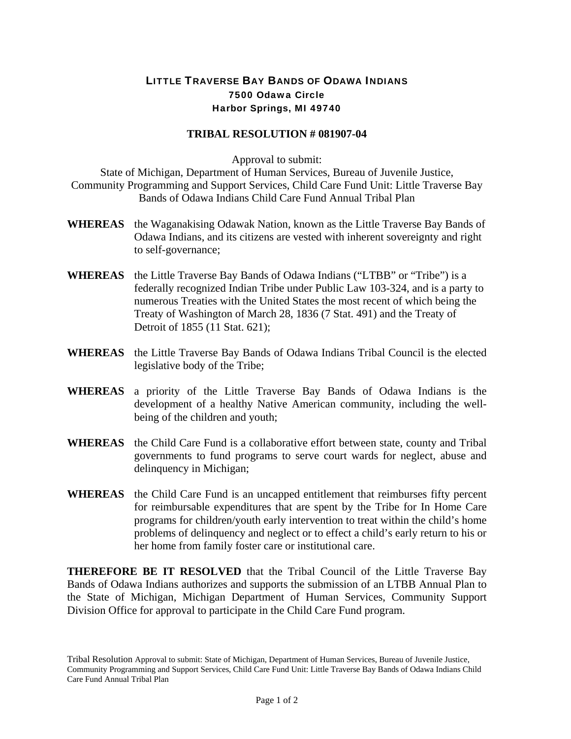## LITTLE TRAVERSE BAY BANDS OF ODAWA INDIANS 7500 Odawa Circle Harbor Springs, MI 49740

## **TRIBAL RESOLUTION # 081907-04**

Approval to submit:

State of Michigan, Department of Human Services, Bureau of Juvenile Justice, Community Programming and Support Services, Child Care Fund Unit: Little Traverse Bay Bands of Odawa Indians Child Care Fund Annual Tribal Plan

- **WHEREAS** the Waganakising Odawak Nation, known as the Little Traverse Bay Bands of Odawa Indians, and its citizens are vested with inherent sovereignty and right to self-governance;
- **WHEREAS** the Little Traverse Bay Bands of Odawa Indians ("LTBB" or "Tribe") is a federally recognized Indian Tribe under Public Law 103-324, and is a party to numerous Treaties with the United States the most recent of which being the Treaty of Washington of March 28, 1836 (7 Stat. 491) and the Treaty of Detroit of 1855 (11 Stat. 621);
- **WHEREAS** the Little Traverse Bay Bands of Odawa Indians Tribal Council is the elected legislative body of the Tribe;
- **WHEREAS** a priority of the Little Traverse Bay Bands of Odawa Indians is the development of a healthy Native American community, including the wellbeing of the children and youth;
- **WHEREAS** the Child Care Fund is a collaborative effort between state, county and Tribal governments to fund programs to serve court wards for neglect, abuse and delinquency in Michigan;
- **WHEREAS** the Child Care Fund is an uncapped entitlement that reimburses fifty percent for reimbursable expenditures that are spent by the Tribe for In Home Care programs for children/youth early intervention to treat within the child's home problems of delinquency and neglect or to effect a child's early return to his or her home from family foster care or institutional care.

**THEREFORE BE IT RESOLVED** that the Tribal Council of the Little Traverse Bay Bands of Odawa Indians authorizes and supports the submission of an LTBB Annual Plan to the State of Michigan, Michigan Department of Human Services, Community Support Division Office for approval to participate in the Child Care Fund program.

Tribal Resolution Approval to submit: State of Michigan, Department of Human Services, Bureau of Juvenile Justice, Community Programming and Support Services, Child Care Fund Unit: Little Traverse Bay Bands of Odawa Indians Child Care Fund Annual Tribal Plan